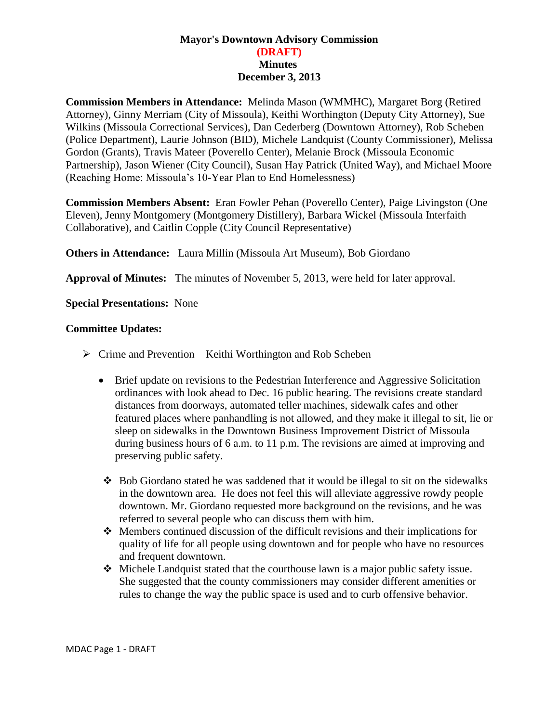## **Mayor's Downtown Advisory Commission (DRAFT) Minutes December 3, 2013**

**Commission Members in Attendance:** Melinda Mason (WMMHC), Margaret Borg (Retired Attorney), Ginny Merriam (City of Missoula), Keithi Worthington (Deputy City Attorney), Sue Wilkins (Missoula Correctional Services), Dan Cederberg (Downtown Attorney), Rob Scheben (Police Department), Laurie Johnson (BID), Michele Landquist (County Commissioner), Melissa Gordon (Grants), Travis Mateer (Poverello Center), Melanie Brock (Missoula Economic Partnership), Jason Wiener (City Council), Susan Hay Patrick (United Way), and Michael Moore (Reaching Home: Missoula's 10-Year Plan to End Homelessness)

**Commission Members Absent:** Eran Fowler Pehan (Poverello Center), Paige Livingston (One Eleven), Jenny Montgomery (Montgomery Distillery), Barbara Wickel (Missoula Interfaith Collaborative), and Caitlin Copple (City Council Representative)

**Others in Attendance:** Laura Millin (Missoula Art Museum), Bob Giordano

**Approval of Minutes:** The minutes of November 5, 2013, were held for later approval.

**Special Presentations:** None

## **Committee Updates:**

- $\triangleright$  Crime and Prevention Keithi Worthington and Rob Scheben
	- Brief update on revisions to the Pedestrian Interference and Aggressive Solicitation ordinances with look ahead to Dec. 16 public hearing. The revisions create standard distances from doorways, automated teller machines, sidewalk cafes and other featured places where panhandling is not allowed, and they make it illegal to sit, lie or sleep on sidewalks in the Downtown Business Improvement District of Missoula during business hours of 6 a.m. to 11 p.m. The revisions are aimed at improving and preserving public safety.
	- $\div$  Bob Giordano stated he was saddened that it would be illegal to sit on the sidewalks in the downtown area. He does not feel this will alleviate aggressive rowdy people downtown. Mr. Giordano requested more background on the revisions, and he was referred to several people who can discuss them with him.
	- Members continued discussion of the difficult revisions and their implications for quality of life for all people using downtown and for people who have no resources and frequent downtown.
	- Michele Landquist stated that the courthouse lawn is a major public safety issue. She suggested that the county commissioners may consider different amenities or rules to change the way the public space is used and to curb offensive behavior.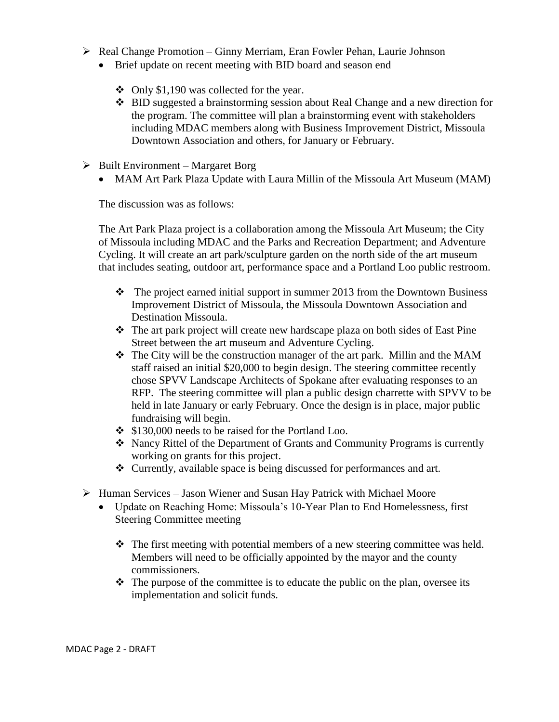- $\triangleright$  Real Change Promotion Ginny Merriam, Eran Fowler Pehan, Laurie Johnson
	- Brief update on recent meeting with BID board and season end
		- Only \$1,190 was collected for the year.
		- BID suggested a brainstorming session about Real Change and a new direction for the program. The committee will plan a brainstorming event with stakeholders including MDAC members along with Business Improvement District, Missoula Downtown Association and others, for January or February.
- $\triangleright$  Built Environment Margaret Borg
	- MAM Art Park Plaza Update with Laura Millin of the Missoula Art Museum (MAM)

The discussion was as follows:

The Art Park Plaza project is a collaboration among the Missoula Art Museum; the City of Missoula including MDAC and the Parks and Recreation Department; and Adventure Cycling. It will create an art park/sculpture garden on the north side of the art museum that includes seating, outdoor art, performance space and a Portland Loo public restroom.

- $\cdot \cdot$  The project earned initial support in summer 2013 from the Downtown Business Improvement District of Missoula, the Missoula Downtown Association and Destination Missoula.
- The art park project will create new hardscape plaza on both sides of East Pine Street between the art museum and Adventure Cycling.
- $\div$  The City will be the construction manager of the art park. Millin and the MAM staff raised an initial \$20,000 to begin design. The steering committee recently chose SPVV Landscape Architects of Spokane after evaluating responses to an RFP. The steering committee will plan a public design charrette with SPVV to be held in late January or early February. Once the design is in place, major public fundraising will begin.
- \$130,000 needs to be raised for the Portland Loo.
- Nancy Rittel of the Department of Grants and Community Programs is currently working on grants for this project.
- Currently, available space is being discussed for performances and art.
- $\triangleright$  Human Services Jason Wiener and Susan Hay Patrick with Michael Moore
	- Update on Reaching Home: Missoula's 10-Year Plan to End Homelessness, first Steering Committee meeting
		- $\hat{\mathbf{v}}$  The first meeting with potential members of a new steering committee was held. Members will need to be officially appointed by the mayor and the county commissioners.
		- $\triangle$  The purpose of the committee is to educate the public on the plan, oversee its implementation and solicit funds.